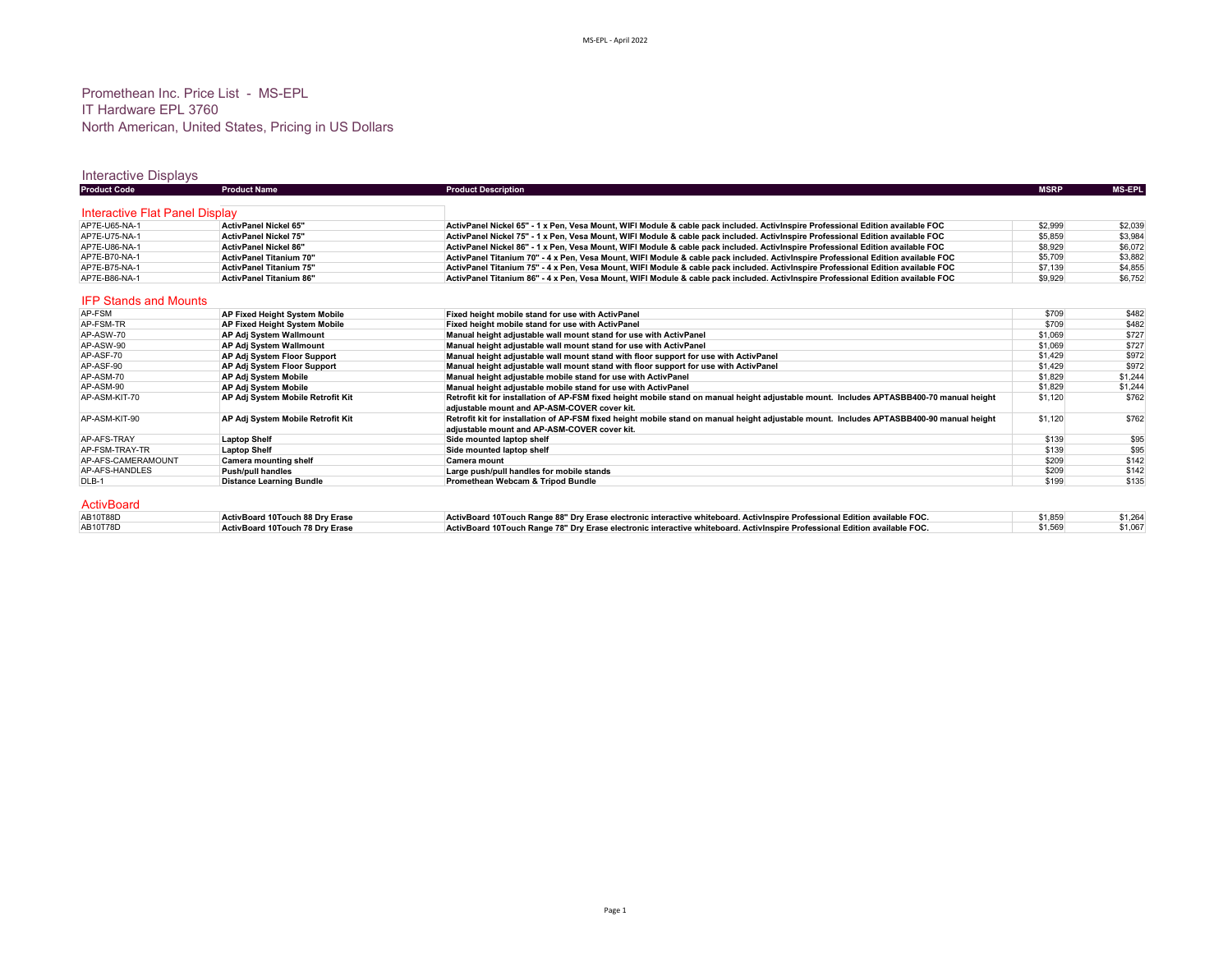## Promethean Inc. Price List - MS-EPL IT Hardware EPL 3760 North American, United States, Pricing in US Dollars

# Interactive Displays

| <b>Product Code</b>            | <b>Product Name</b>                  | <b>Product Description</b>                                                                                                                                                                | <b>MSRP</b> | <b>MS-EPL</b> |
|--------------------------------|--------------------------------------|-------------------------------------------------------------------------------------------------------------------------------------------------------------------------------------------|-------------|---------------|
| Interactive Flat Panel Display |                                      |                                                                                                                                                                                           |             |               |
| AP7E-U65-NA-1                  | <b>ActivPanel Nickel 65"</b>         | ActivPanel Nickel 65" - 1 x Pen, Vesa Mount, WIFI Module & cable pack included. ActivInspire Professional Edition available FOC                                                           | \$2,999     | \$2,039       |
| AP7E-U75-NA-1                  | <b>ActivPanel Nickel 75"</b>         | ActivPanel Nickel 75" - 1 x Pen. Vesa Mount. WIFI Module & cable pack included. Activinspire Professional Edition available FOC                                                           | \$5,859     | \$3.984       |
| AP7E-U86-NA-1                  | <b>ActivPanel Nickel 86"</b>         | ActivPanel Nickel 86" - 1 x Pen, Vesa Mount, WIFI Module & cable pack included. ActivInspire Professional Edition available FOC                                                           | \$8,929     | \$6,072       |
| AP7E-B70-NA-1                  | <b>ActivPanel Titanium 70"</b>       | ActivPanel Titanium 70" - 4 x Pen, Vesa Mount, WIFI Module & cable pack included. ActivInspire Professional Edition available FOC                                                         | \$5,709     | \$3,882       |
| AP7E-B75-NA-1                  | <b>ActivPanel Titanium 75"</b>       | ActivPanel Titanium 75" - 4 x Pen. Vesa Mount. WIFI Module & cable pack included. Activinspire Professional Edition available FOC                                                         | \$7,139     | \$4,855       |
| AP7E-B86-NA-1                  | <b>ActivPanel Titanium 86"</b>       | ActivPanel Titanium 86" - 4 x Pen. Vesa Mount, WIFI Module & cable pack included. ActivInspire Professional Edition available FOC                                                         | \$9,929     | \$6,752       |
| <b>IFP Stands and Mounts</b>   |                                      |                                                                                                                                                                                           |             |               |
| AP-FSM                         | <b>AP Fixed Height System Mobile</b> | Fixed height mobile stand for use with ActivPanel                                                                                                                                         | \$709       | \$482         |
| AP-FSM-TR                      | AP Fixed Height System Mobile        | Fixed height mobile stand for use with ActivPanel                                                                                                                                         | \$709       | \$482         |
| AP-ASW-70                      | AP Adj System Wallmount              | Manual height adjustable wall mount stand for use with ActivPanel                                                                                                                         | \$1,069     | \$727         |
| AP-ASW-90                      | AP Adi System Wallmount              | Manual height adjustable wall mount stand for use with ActivPanel                                                                                                                         | \$1,069     | \$727         |
| AP-ASF-70                      | AP Adj System Floor Support          | Manual height adjustable wall mount stand with floor support for use with ActivPanel                                                                                                      | \$1.429     | \$972         |
| AP-ASF-90                      | AP Adj System Floor Support          | Manual height adjustable wall mount stand with floor support for use with ActivPanel                                                                                                      | \$1,429     | \$972         |
| AP-ASM-70                      | AP Adi System Mobile                 | Manual height adjustable mobile stand for use with ActivPanel                                                                                                                             | \$1.829     | \$1,244       |
| AP-ASM-90                      | AP Adi System Mobile                 | Manual height adjustable mobile stand for use with ActivPanel                                                                                                                             | \$1,829     | \$1,244       |
| AP-ASM-KIT-70                  | AP Adj System Mobile Retrofit Kit    | Retrofit kit for installation of AP-FSM fixed height mobile stand on manual height adjustable mount. Includes APTASBB400-70 manual height<br>adjustable mount and AP-ASM-COVER cover kit. | \$1,120     | \$762         |
| AP-ASM-KIT-90                  | AP Adj System Mobile Retrofit Kit    | Retrofit kit for installation of AP-FSM fixed height mobile stand on manual height adjustable mount. Includes APTASBB400-90 manual height<br>adjustable mount and AP-ASM-COVER cover kit. | \$1,120     | \$762         |
| AP-AFS-TRAY                    | <b>Laptop Shelf</b>                  | Side mounted laptop shelf                                                                                                                                                                 | \$139       | \$95          |
| AP-FSM-TRAY-TR                 | <b>Laptop Shelf</b>                  | Side mounted laptop shelf                                                                                                                                                                 | \$139       | \$95          |
| AP-AFS-CAMERAMOUNT             | <b>Camera mounting shelf</b>         | <b>Camera mount</b>                                                                                                                                                                       | \$209       | \$142         |
| AP-AFS-HANDLES                 | <b>Push/pull handles</b>             | Large push/pull handles for mobile stands                                                                                                                                                 | \$209       | \$142         |
| DLB-1                          | <b>Distance Learning Bundle</b>      | Promethean Webcam & Tripod Bundle                                                                                                                                                         | \$199       | \$135         |
| <b>ActivBoard</b>              |                                      |                                                                                                                                                                                           |             |               |

| AB10T88D | ActivBoard 10Touch 88 Dry Erase | ActivBoard 10Touch Range 88" Dry Erase electronic interactive whiteboard. ActivInspire Professional Edition available FOC. | \$1.859 | \$1,264 |
|----------|---------------------------------|----------------------------------------------------------------------------------------------------------------------------|---------|---------|
| AB10T78D | ActivBoard 10Touch 78 Dry Erase | ActivBoard 10Touch Range 78" Dry Erase electronic interactive whiteboard. ActivInspire Professional Edition available FOC. | \$1,569 | \$1,067 |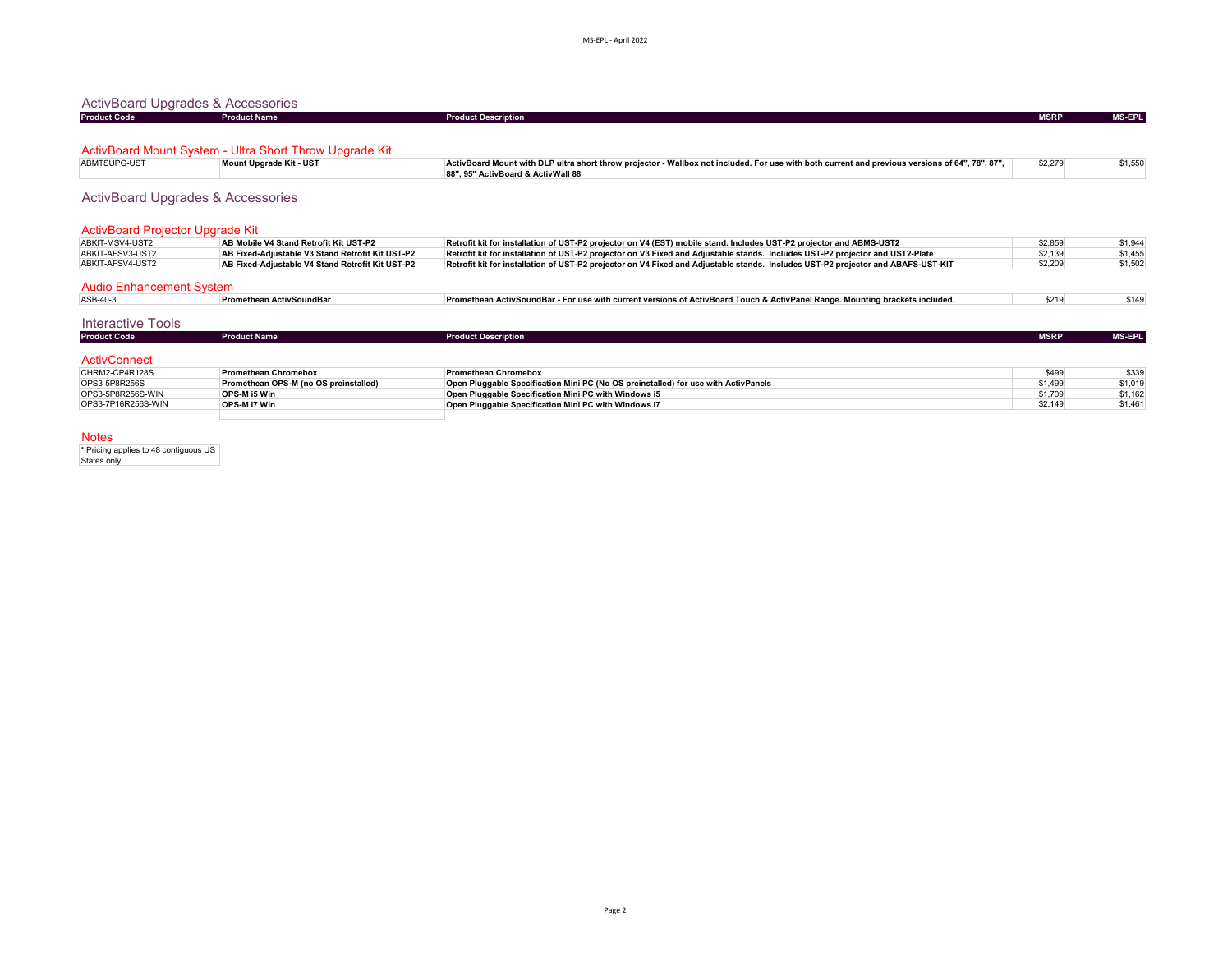| <b>ActivBoard Upgrades &amp; Accessories</b><br><b>Product Name</b> |                                                                                                                                                                                       |             |               |
|---------------------------------------------------------------------|---------------------------------------------------------------------------------------------------------------------------------------------------------------------------------------|-------------|---------------|
|                                                                     | <b>Product Description</b>                                                                                                                                                            | <b>MSRP</b> | <b>MS-EPL</b> |
|                                                                     |                                                                                                                                                                                       |             |               |
|                                                                     |                                                                                                                                                                                       |             |               |
| Mount Upgrade Kit - UST                                             | ActivBoard Mount with DLP ultra short throw projector - Wallbox not included. For use with both current and previous versions of 64", 78", 87",<br>88", 95" ActivBoard & ActivWall 88 | \$2,279     | \$1,550       |
| <b>ActivBoard Upgrades &amp; Accessories</b>                        |                                                                                                                                                                                       |             |               |
| ActivBoard Projector Upgrade Kit                                    |                                                                                                                                                                                       |             |               |
| AB Mobile V4 Stand Retrofit Kit UST-P2                              | Retrofit kit for installation of UST-P2 projector on V4 (EST) mobile stand. Includes UST-P2 projector and ABMS-UST2                                                                   | \$2.859     | \$1,944       |
| AB Fixed-Adjustable V3 Stand Retrofit Kit UST-P2                    | Retrofit kit for installation of UST-P2 projector on V3 Fixed and Adjustable stands. Includes UST-P2 projector and UST2-Plate                                                         | \$2,139     | \$1,455       |
| AB Fixed-Adiustable V4 Stand Retrofit Kit UST-P2                    | Retrofit kit for installation of UST-P2 projector on V4 Fixed and Adjustable stands. Includes UST-P2 projector and ABAFS-UST-KIT                                                      | \$2,209     | \$1,502       |
|                                                                     |                                                                                                                                                                                       |             |               |
| Promethean ActivSoundBar                                            | Promethean ActivSoundBar - For use with current versions of ActivBoard Touch & ActivPanel Range. Mounting brackets included.                                                          | \$219       | \$149         |
|                                                                     |                                                                                                                                                                                       |             |               |
| <b>Product Name</b>                                                 | <b>Product Description</b>                                                                                                                                                            | <b>MSRP</b> | <b>MS-EPL</b> |
|                                                                     |                                                                                                                                                                                       |             |               |
| <b>Promethean Chromebox</b>                                         | <b>Promethean Chromebox</b>                                                                                                                                                           | \$499       | \$339         |
| Promethean OPS-M (no OS preinstalled)                               | Open Pluggable Specification Mini PC (No OS preinstalled) for use with ActivPanels                                                                                                    | \$1,499     | \$1,019       |
| OPS-M i5 Win                                                        | Open Pluggable Specification Mini PC with Windows i5                                                                                                                                  | \$1,709     | \$1,162       |
| OPS-M i7 Win                                                        | Open Pluggable Specification Mini PC with Windows i7                                                                                                                                  | \$2.149     | \$1,461       |
|                                                                     | ActivBoard Mount System - Ultra Short Throw Upgrade Kit                                                                                                                               |             |               |

Notes

\* Pricing applies to 48 contiguous US States only.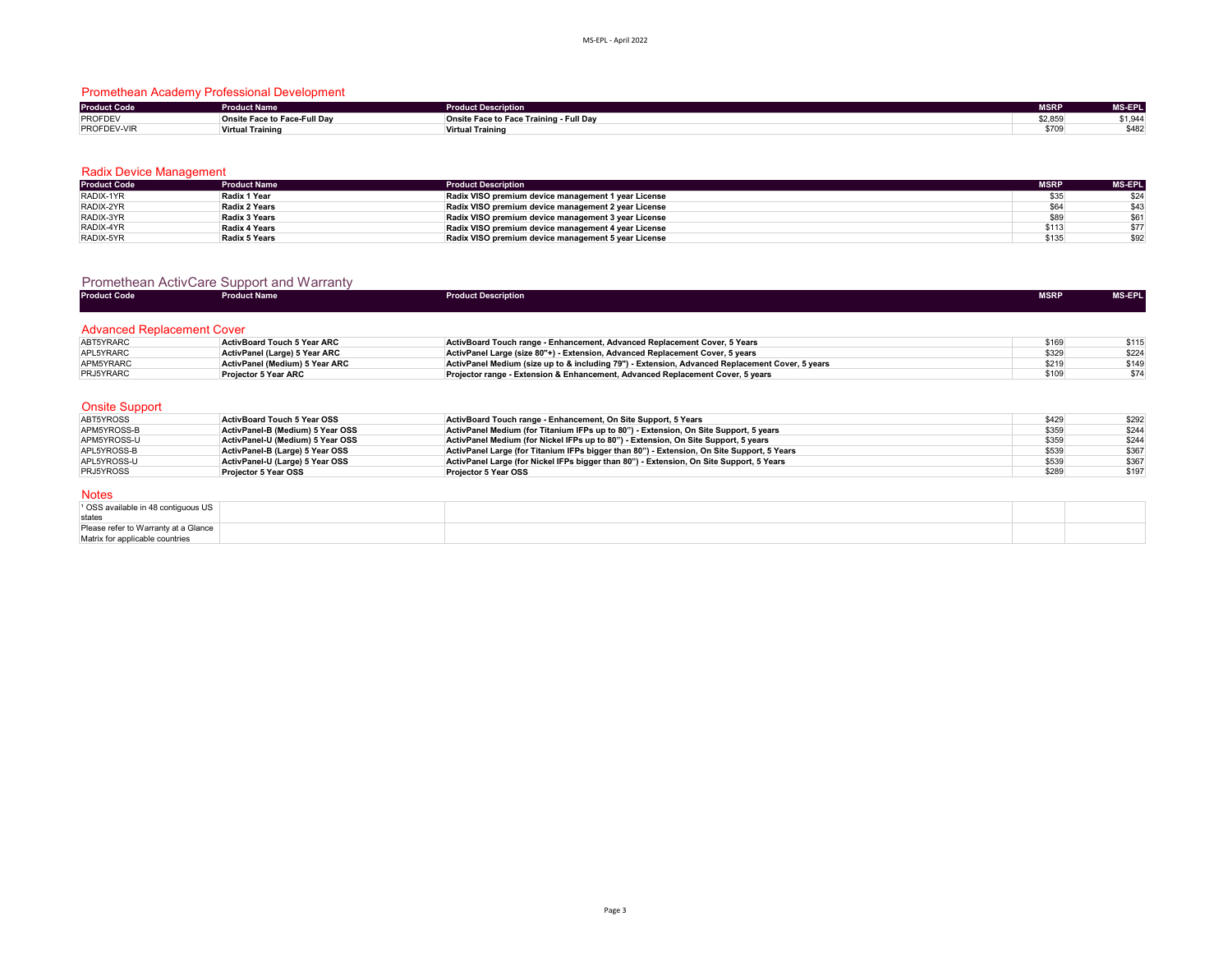### Promethean Academy Professional Development

| <b>Product Code</b> | <b>Product Name</b>          | <b>Product Description</b>              | <b>MSRP</b> | <b>MS-EPL</b>    |
|---------------------|------------------------------|-----------------------------------------|-------------|------------------|
| PROFDEV             | Onsite Face to Face-Full Day | Onsite Face to Face Training - Full Day | \$2,859     | 21011<br>+¤.,ו ر |
| PROFDEV-VIR         | <b>Virtual Training</b>      | <b>Virtual Training</b>                 | \$709       | \$482            |

#### Radix Device Management

| <b>Product Code</b> | <b>Product Name</b> | <b>Product Description</b>                          | <b>MSRP</b> | <b>MS-EPL</b> |
|---------------------|---------------------|-----------------------------------------------------|-------------|---------------|
| RADIX-1YR           | Radix 1 Year        | Radix VISO premium device management 1 year License | \$35        | \$24          |
| RADIX-2YR           | Radix 2 Years       | Radix VISO premium device management 2 year License | \$64        | \$43          |
| RADIX-3YR           | Radix 3 Years       | Radix VISO premium device management 3 year License | \$89        | \$61          |
| RADIX-4YR           | Radix 4 Years       | Radix VISO premium device management 4 year License | \$113       | \$77          |
| RADIX-5YR           | Radix 5 Years       | Radix VISO premium device management 5 year License | \$135       | \$92          |

#### Promethean ActivCare Support and Warranty

| <b>Product Code</b>               | <b>Product Name</b>                | <b>Product Description</b>                                                                      | <b>MSRP</b> | <b>MS-EPL</b> |
|-----------------------------------|------------------------------------|-------------------------------------------------------------------------------------------------|-------------|---------------|
|                                   |                                    |                                                                                                 |             |               |
| <b>Advanced Replacement Cover</b> |                                    |                                                                                                 |             |               |
| ABT5YRARC                         | <b>ActivBoard Touch 5 Year ARC</b> | ActivBoard Touch range - Enhancement, Advanced Replacement Cover, 5 Years                       | \$169       | \$115         |
| APL5YRARC                         | ActivPanel (Large) 5 Year ARC      | ActivPanel Large (size 80"+) - Extension, Advanced Replacement Cover, 5 years                   | \$329       | \$224         |
| APM5YRARC                         | ActivPanel (Medium) 5 Year ARC     | ActivPanel Medium (size up to & including 79") - Extension. Advanced Replacement Cover, 5 years | \$219       | \$149         |
| PRJ5YRARC                         | <b>Projector 5 Year ARC</b>        | Projector range - Extension & Enhancement. Advanced Replacement Cover, 5 years                  | \$109       | \$74          |
|                                   |                                    |                                                                                                 |             |               |
|                                   |                                    |                                                                                                 |             |               |
| <b>Onsite Support</b>             |                                    |                                                                                                 |             |               |
| ABT5YROSS                         | <b>ActivBoard Touch 5 Year OSS</b> | ActivBoard Touch range - Enhancement, On Site Support, 5 Years                                  | \$429       | \$292         |
| APM5YROSS-B                       | ActivPanel-B (Medium) 5 Year OSS   | ActivPanel Medium (for Titanium IFPs up to 80") - Extension, On Site Support, 5 years           | \$359       | \$244         |
| APM5YROSS-U                       | ActivPanel-U (Medium) 5 Year OSS   | ActivPanel Medium (for Nickel IFPs up to 80") - Extension. On Site Support, 5 years             | \$359       | \$244         |
| APL5YROSS-B                       | ActivPanel-B (Large) 5 Year OSS    | ActivPanel Large (for Titanium IFPs bigger than 80") - Extension. On Site Support, 5 Years      | \$539       | \$367         |
| APL5YROSS-U                       | ActivPanel-U (Large) 5 Year OSS    | ActivPanel Large (for Nickel IFPs bigger than 80") - Extension, On Site Support, 5 Years        | \$539       | \$367         |

#### Notes

| $\frac{1}{2}$ OSS available in 48 contiguous US |  |  |
|-------------------------------------------------|--|--|
| states                                          |  |  |
| Please refer to Warranty at a Glance            |  |  |
| Matrix for applicable countries                 |  |  |

PRJ5YROSS **Projector 5 Year OSS Projector 5 Year OSS** \$289 \$197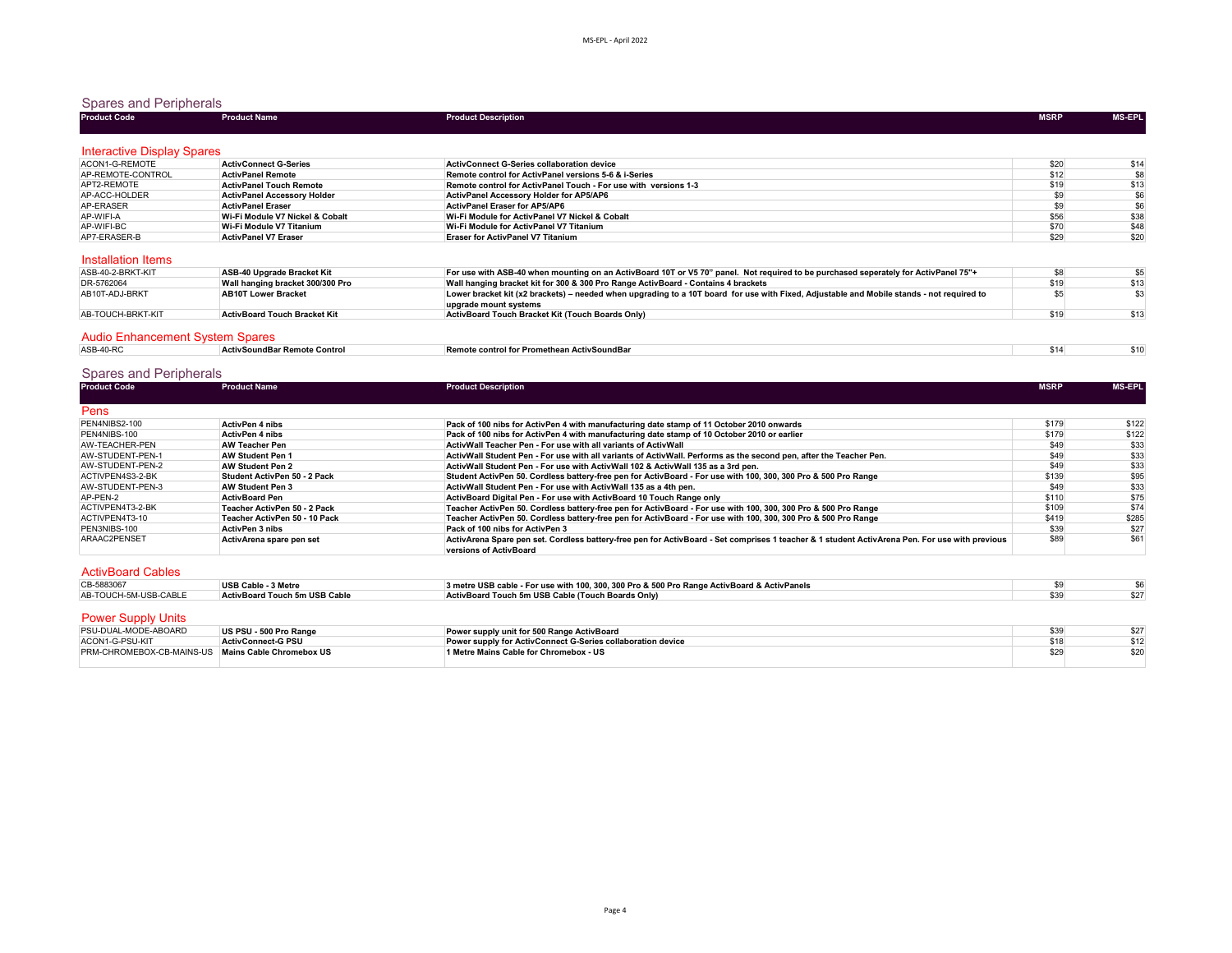### Spares and Peripherals

| <b>Product Code</b>                    | <b>Product Name</b>                 | <b>Product Description</b>                                                                                                                | <b>MSRP</b> | <b>MS-EPL</b>    |
|----------------------------------------|-------------------------------------|-------------------------------------------------------------------------------------------------------------------------------------------|-------------|------------------|
|                                        |                                     |                                                                                                                                           |             |                  |
| <b>Interactive Display Spares</b>      |                                     |                                                                                                                                           |             |                  |
| ACON1-G-REMOTE                         | <b>ActivConnect G-Series</b>        | <b>ActivConnect G-Series collaboration device</b>                                                                                         | \$20        |                  |
| AP-REMOTE-CONTROL                      | <b>ActivPanel Remote</b>            | Remote control for ActivPanel versions 5-6 & i-Series                                                                                     | \$12        | $$14$<br>$$8$    |
| APT2-REMOTE                            | <b>ActivPanel Touch Remote</b>      | Remote control for ActivPanel Touch - For use with versions 1-3                                                                           | \$19        | $\frac{$13}{$6}$ |
| AP-ACC-HOLDER                          | <b>ActivPanel Accessory Holder</b>  | ActivPanel Accessory Holder for AP5/AP6                                                                                                   | \$9         |                  |
| AP-ERASER                              | <b>ActivPanel Eraser</b>            | <b>ActivPanel Eraser for AP5/AP6</b>                                                                                                      | \$9         | \$6              |
| AP-WIFI-A                              | Wi-Fi Module V7 Nickel & Cobalt     | Wi-Fi Module for ActivPanel V7 Nickel & Cobalt                                                                                            | \$56        | \$38             |
| AP-WIFI-BC                             | Wi-Fi Module V7 Titanium            | Wi-Fi Module for ActivPanel V7 Titanium                                                                                                   | \$70        | \$48             |
| AP7-ERASER-B                           | <b>ActivPanel V7 Eraser</b>         | <b>Eraser for ActivPanel V7 Titanium</b>                                                                                                  | \$29        | \$20             |
|                                        |                                     |                                                                                                                                           |             |                  |
| Installation Items                     |                                     |                                                                                                                                           |             |                  |
| ASB-40-2-BRKT-KIT                      | ASB-40 Upgrade Bracket Kit          | For use with ASB-40 when mounting on an ActivBoard 10T or V5 70" panel. Not required to be purchased seperately for ActivPanel 75"+       | \$8         |                  |
| DR-5762064                             | Wall hanging bracket 300/300 Pro    | Wall hanging bracket kit for 300 & 300 Pro Range ActivBoard - Contains 4 brackets                                                         | \$19        | $$5$<br>$$13$    |
| AB10T-ADJ-BRKT                         | <b>AB10T Lower Bracket</b>          | Lower bracket kit (x2 brackets) - needed when upgrading to a 10T board for use with Fixed, Adjustable and Mobile stands - not required to | \$5         | \$3              |
|                                        |                                     | upgrade mount systems                                                                                                                     |             |                  |
| AB-TOUCH-BRKT-KIT                      | <b>ActivBoard Touch Bracket Kit</b> | ActivBoard Touch Bracket Kit (Touch Boards Only)                                                                                          | \$19        | \$13             |
|                                        |                                     |                                                                                                                                           |             |                  |
| <b>Audio Enhancement System Spares</b> |                                     |                                                                                                                                           |             |                  |
|                                        |                                     |                                                                                                                                           |             |                  |

| $ASR-40-P$ | Contro<br>. | ActivecuadDor<br>control fo.<br>----<br>$\cdots$ | $\sim$ |  |
|------------|-------------|--------------------------------------------------|--------|--|
|            |             |                                                  |        |  |

# Spares and Peripherals

| <b>Product Code</b>      | <b>Product Name</b>           | <b>Product Description</b>                                                                                                                                               | <b>MSRP</b> | MS-EPL |
|--------------------------|-------------------------------|--------------------------------------------------------------------------------------------------------------------------------------------------------------------------|-------------|--------|
| Pens                     |                               |                                                                                                                                                                          |             |        |
| PEN4NIBS2-100            | <b>ActivPen 4 nibs</b>        | Pack of 100 nibs for ActivPen 4 with manufacturing date stamp of 11 October 2010 onwards                                                                                 | \$179       | \$122  |
| PEN4NIBS-100             | <b>ActivPen 4 nibs</b>        | Pack of 100 nibs for ActivPen 4 with manufacturing date stamp of 10 October 2010 or earlier                                                                              | \$179       | \$122  |
| AW-TEACHER-PEN           | <b>AW Teacher Pen</b>         | ActivWall Teacher Pen - For use with all variants of ActivWall                                                                                                           | \$49        | \$33   |
| AW-STUDENT-PEN-1         | <b>AW Student Pen 1</b>       | ActivWall Student Pen - For use with all variants of ActivWall. Performs as the second pen, after the Teacher Pen,                                                       | \$49        | \$33   |
| AW-STUDENT-PEN-2         | AW Student Pen 2              | ActivWall Student Pen - For use with ActivWall 102 & ActivWall 135 as a 3rd pen.                                                                                         | \$49        | \$33   |
| ACTIVPEN4S3-2-BK         | Student ActivPen 50 - 2 Pack  | Student ActivPen 50. Cordless battery-free pen for ActivBoard - For use with 100, 300, 300 Pro & 500 Pro Range                                                           | \$139       | \$95   |
| AW-STUDENT-PEN-3         | AW Student Pen 3              | ActivWall Student Pen - For use with ActivWall 135 as a 4th pen.                                                                                                         | \$49        | \$33   |
| AP-PEN-2                 | <b>ActivBoard Pen</b>         | ActivBoard Digital Pen - For use with ActivBoard 10 Touch Range only                                                                                                     | \$110       | \$75   |
| ACTIVPEN4T3-2-BK         | Teacher ActivPen 50 - 2 Pack  | Teacher ActivPen 50. Cordless batterv-free pen for ActivBoard - For use with 100, 300, 300 Pro & 500 Pro Range                                                           | \$109       | \$74   |
| ACTIVPEN4T3-10           | Teacher ActivPen 50 - 10 Pack | Teacher ActivPen 50. Cordless battery-free pen for ActivBoard - For use with 100, 300, 300 Pro & 500 Pro Range                                                           | \$419       | \$285  |
| PEN3NIBS-100             | <b>ActivPen 3 nibs</b>        | Pack of 100 nibs for ActivPen 3                                                                                                                                          | \$39        | \$27   |
| ARAAC2PENSET             | ActivArena spare pen set      | ActivArena Spare pen set. Cordless battery-free pen for ActivBoard - Set comprises 1 teacher & 1 student ActivArena Pen. For use with previous<br>versions of ActivBoard | \$89        | \$61   |
| <b>ActivBoard Cables</b> |                               |                                                                                                                                                                          |             |        |

| CB-5883067            | USB Cable - 3 Metre                  | 3 metre USB cable - For use with 100, 300, 300 Pro & 500 Pro Range ActivBoard & ActivPanels |  |
|-----------------------|--------------------------------------|---------------------------------------------------------------------------------------------|--|
| AB-TOUCH-5M-USB-CABLE | <b>ActivBoard Touch 5m USB Cable</b> | ActivBoard Touch 5m USB Cable (Touch Boards Only)                                           |  |
|                       |                                      |                                                                                             |  |

#### Power Supply Units

| PSU-DUAL-MODE-ABOARD                                      | US PSU - 500 Pro Range    | Power supply unit for 500 Range ActivBoard                         | \$27 |
|-----------------------------------------------------------|---------------------------|--------------------------------------------------------------------|------|
| ACON1-G-PSU-KIT                                           | <b>ActivConnect-G PSU</b> | <b>Power supply for ActivConnect G-Series collaboration device</b> |      |
| <b>PRM-CHROMEBOX-CB-MAINS-US Mains Cable Chromebox US</b> |                           | 1 Metre Mains Cable for Chromebox - US                             |      |
|                                                           |                           |                                                                    |      |